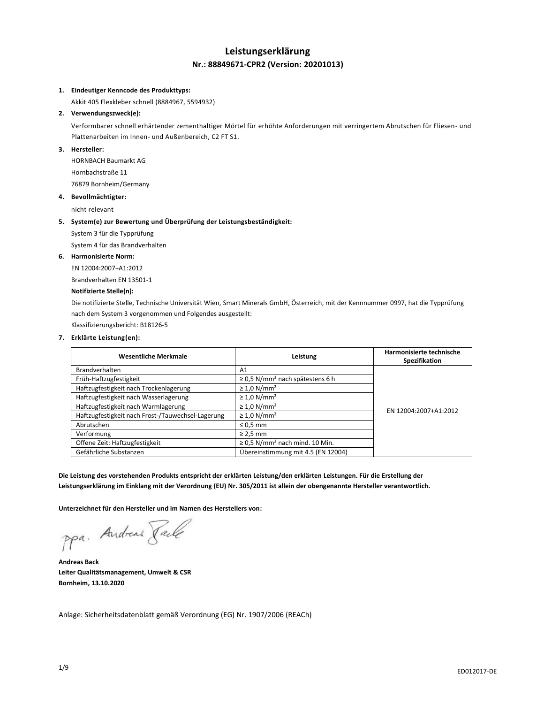# **Leistungserklärung Nr.: 88849671-CPR2 (Version: 20201013)**

# **1. Eindeutiger Kenncode des Produkttyps:**

Akkit 405 Flexkleber schnell (8884967, 5594932)

# **2. Verwendungszweck(e):**

Verformbarer schnell erhärtender zementhaltiger Mörtel für erhöhte Anforderungen mit verringertem Abrutschen für Fliesen- und Plattenarbeiten im Innen- und Außenbereich, C2 FT S1.

# **3. Hersteller:**

HORNBACH Baumarkt AG Hornbachstraße 11 76879 Bornheim/Germany

#### **4. Bevollmächtigter:**

nicht relevant

#### **5. System(e) zur Bewertung und Überprüfung der Leistungsbeständigkeit:**

System 3 für die Typprüfung

System 4 für das Brandverhalten

# **6. Harmonisierte Norm:**

EN 12004:2007+A1:2012 Brandverhalten EN 13501-1

# **Notifizierte Stelle(n):**

Die notifizierte Stelle, Technische Universität Wien, Smart Minerals GmbH, Österreich, mit der Kennnummer 0997, hat die Typprüfung nach dem System 3 vorgenommen und Folgendes ausgestellt:

Klassifizierungsbericht: B18126-5

#### **7. Erklärte Leistung(en):**

| <b>Wesentliche Merkmale</b>                       | Leistung                                         | Harmonisierte technische<br>Spezifikation |
|---------------------------------------------------|--------------------------------------------------|-------------------------------------------|
| Brandverhalten                                    | A1                                               |                                           |
| Früh-Haftzugfestigkeit                            | $\geq$ 0,5 N/mm <sup>2</sup> nach spätestens 6 h |                                           |
| Haftzugfestigkeit nach Trockenlagerung            | $\geq 1.0$ N/mm <sup>2</sup>                     |                                           |
| Haftzugfestigkeit nach Wasserlagerung             | $\geq 1.0$ N/mm <sup>2</sup>                     |                                           |
| Haftzugfestigkeit nach Warmlagerung               | $\geq 1.0$ N/mm <sup>2</sup>                     | EN 12004:2007+A1:2012                     |
| Haftzugfestigkeit nach Frost-/Tauwechsel-Lagerung | $\geq 1.0$ N/mm <sup>2</sup>                     |                                           |
| Abrutschen                                        | $\leq$ 0,5 mm                                    |                                           |
| Verformung                                        | $\geq$ 2.5 mm                                    |                                           |
| Offene Zeit: Haftzugfestigkeit                    | $\geq$ 0,5 N/mm <sup>2</sup> nach mind. 10 Min.  |                                           |
| Gefährliche Substanzen                            | Übereinstimmung mit 4.5 (EN 12004)               |                                           |

**Die Leistung des vorstehenden Produkts entspricht der erklärten Leistung/den erklärten Leistungen. Für die Erstellung der Leistungserklärung im Einklang mit der Verordnung (EU) Nr. 305/2011 ist allein der obengenannte Hersteller verantwortlich.**

**Unterzeichnet für den Hersteller und im Namen des Herstellers von:**

ppa. Andreas Jack

**Andreas Back Leiter Qualitätsmanagement, Umwelt & CSR Bornheim, 13.10.2020**

Anlage: Sicherheitsdatenblatt gemäß Verordnung (EG) Nr. 1907/2006 (REACh)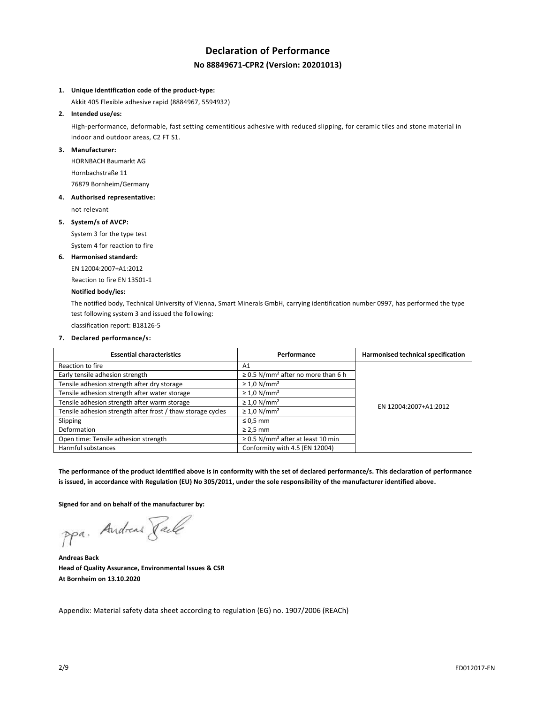# **Declaration of Performance No 88849671-CPR2 (Version: 20201013)**

#### **1. Unique identification code of the product-type:**

Akkit 405 Flexible adhesive rapid (8884967, 5594932)

## **2. Intended use/es:**

High-performance, deformable, fast setting cementitious adhesive with reduced slipping, for ceramic tiles and stone material in indoor and outdoor areas, C2 FT S1.

# **3. Manufacturer:**

HORNBACH Baumarkt AG Hornbachstraße 11 76879 Bornheim/Germany

#### **4. Authorised representative:**

not relevant

#### **5. System/s of AVCP:**

System 3 for the type test

System 4 for reaction to fire

#### **6. Harmonised standard:**

EN 12004:2007+A1:2012

Reaction to fire EN 13501-1

# **Notified body/ies:**

The notified body, Technical University of Vienna, Smart Minerals GmbH, carrying identification number 0997, has performed the type test following system 3 and issued the following:

classification report: B18126-5

# **7. Declared performance/s:**

| <b>Essential characteristics</b>                            | Performance                                         | Harmonised technical specification |
|-------------------------------------------------------------|-----------------------------------------------------|------------------------------------|
| Reaction to fire                                            | A <sub>1</sub>                                      |                                    |
| Early tensile adhesion strength                             | $\geq$ 0.5 N/mm <sup>2</sup> after no more than 6 h |                                    |
| Tensile adhesion strength after dry storage                 | $\geq 1.0$ N/mm <sup>2</sup>                        |                                    |
| Tensile adhesion strength after water storage               | $\geq 1.0$ N/mm <sup>2</sup>                        |                                    |
| Tensile adhesion strength after warm storage                | $\geq 1.0$ N/mm <sup>2</sup>                        | EN 12004:2007+A1:2012              |
| Tensile adhesion strength after frost / thaw storage cycles | $\geq 1.0$ N/mm <sup>2</sup>                        |                                    |
| Slipping                                                    | $\leq 0.5$ mm                                       |                                    |
| Deformation                                                 | $\geq$ 2.5 mm                                       |                                    |
| Open time: Tensile adhesion strength                        | $\geq$ 0.5 N/mm <sup>2</sup> after at least 10 min  |                                    |
| Harmful substances                                          | Conformity with 4.5 (EN 12004)                      |                                    |

**The performance of the product identified above is in conformity with the set of declared performance/s. This declaration of performance is issued, in accordance with Regulation (EU) No 305/2011, under the sole responsibility of the manufacturer identified above.**

**Signed for and on behalf of the manufacturer by:**

ppa. Andreas Paule

**Andreas Back Head of Quality Assurance, Environmental Issues & CSR At Bornheim on 13.10.2020**

Appendix: Material safety data sheet according to regulation (EG) no. 1907/2006 (REACh)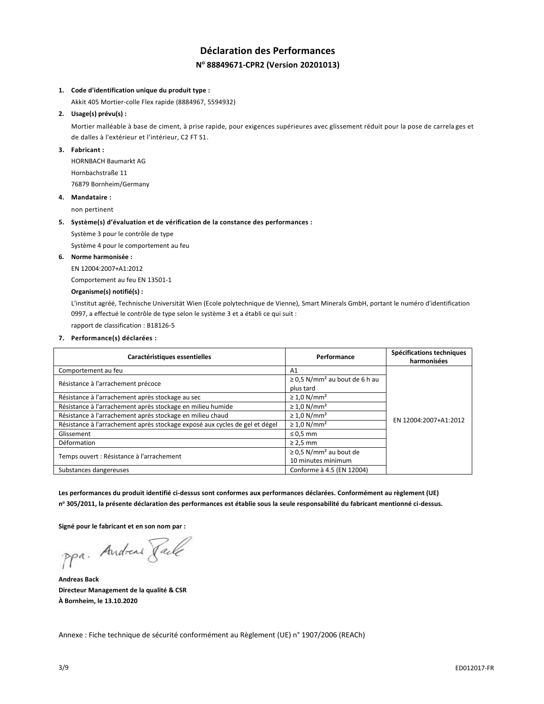# **Déclaration des Performances N <sup>o</sup> 88849671-CPR2 (Version 20201013)**

## **1. Code d'identification unique du produit type :**

Akkit 405 Mortier-colle Flex rapide (8884967, 5594932)

# **2. Usage(s) prévu(s) :**

Mortier malléable à base de ciment, à prise rapide, pour exigences supérieures avec glissement réduit pour la pose de carrela ges et de dalles à l'extérieur et l'intérieur, C2 FT S1.

# **3. Fabricant :**

HORNBACH Baumarkt AG Hornbachstraße 11 76879 Bornheim/Germany

#### **4. Mandataire :**

non pertinent

#### **5. Système(s) d'évaluation et de vérification de la constance des performances :**

Système 3 pour le contrôle de type

Système 4 pour le comportement au feu

# **6. Norme harmonisée :**

EN 12004:2007+A1:2012

Comportement au feu EN 13501-1

# **Organisme(s) notifié(s) :**

L'institut agréé, Technische Universität Wien (Ecole polytechnique de Vienne), Smart Minerals GmbH, portant le numéro d'identification 0997, a effectué le contrôle de type selon le système 3 et a établi ce qui suit :

rapport de classification : B18126-5

**7. Performance(s) déclarées :**

| Caractéristiques essentielles                                               | Performance                                    | Spécifications techniques<br>harmonisées |
|-----------------------------------------------------------------------------|------------------------------------------------|------------------------------------------|
| Comportement au feu                                                         | A <sub>1</sub>                                 |                                          |
| Résistance à l'arrachement précoce                                          | $\geq$ 0.5 N/mm <sup>2</sup> au bout de 6 h au |                                          |
|                                                                             | plus tard                                      |                                          |
| Résistance à l'arrachement après stockage au sec                            | $\geq 1.0$ N/mm <sup>2</sup>                   |                                          |
| Résistance à l'arrachement après stockage en milieu humide                  | $\geq 1.0$ N/mm <sup>2</sup>                   |                                          |
| Résistance à l'arrachement après stockage en milieu chaud                   | $\geq 1.0$ N/mm <sup>2</sup>                   | EN 12004:2007+A1:2012                    |
| Résistance à l'arrachement après stockage exposé aux cycles de gel et dégel | $\geq 1.0$ N/mm <sup>2</sup>                   |                                          |
| Glissement                                                                  | $\leq 0.5$ mm                                  |                                          |
| Déformation                                                                 | $\geq$ 2,5 mm                                  |                                          |
|                                                                             | $\geq$ 0,5 N/mm <sup>2</sup> au bout de        |                                          |
| Temps ouvert : Résistance à l'arrachement                                   | 10 minutes minimum                             |                                          |
| Substances dangereuses                                                      | Conforme à 4.5 (EN 12004)                      |                                          |

**Les performances du produit identifié ci-dessus sont conformes aux performances déclarées. Conformément au règlement (UE) n <sup>o</sup> 305/2011, la présente déclaration des performances est établie sous la seule responsabilité du fabricant mentionné ci-dessus.**

**Signé pour le fabricant et en son nom par :**

ppa. Andreas Paule

**Andreas Back Directeur Management de la qualité & CSR À Bornheim, le 13.10.2020**

Annexe : Fiche technique de sécurité conformément au Règlement (UE) n° 1907/2006 (REACh)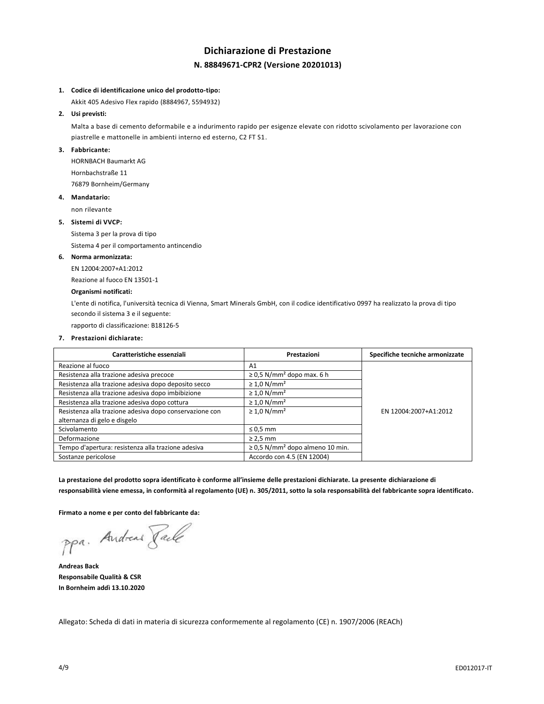# **Dichiarazione di Prestazione N. 88849671-CPR2 (Versione 20201013)**

#### **1. Codice di identificazione unico del prodotto-tipo:**

Akkit 405 Adesivo Flex rapido (8884967, 5594932)

# **2. Usi previsti:**

Malta a base di cemento deformabile e a indurimento rapido per esigenze elevate con ridotto scivolamento per lavorazione con piastrelle e mattonelle in ambienti interno ed esterno, C2 FT S1.

# **3. Fabbricante:**

HORNBACH Baumarkt AG Hornbachstraße 11 76879 Bornheim/Germany

# **4. Mandatario:**

non rilevante

#### **5. Sistemi di VVCP:**

Sistema 3 per la prova di tipo

Sistema 4 per il comportamento antincendio

# **6. Norma armonizzata:**

EN 12004:2007+A1:2012

Reazione al fuoco EN 13501-1

# **Organismi notificati:**

L'ente di notifica, l'università tecnica di Vienna, Smart Minerals GmbH, con il codice identificativo 0997 ha realizzato la prova di tipo secondo il sistema 3 e il seguente:

rapporto di classificazione: B18126-5

# **7. Prestazioni dichiarate:**

| Caratteristiche essenziali                              | Prestazioni                                      | Specifiche tecniche armonizzate |
|---------------------------------------------------------|--------------------------------------------------|---------------------------------|
| Reazione al fuoco                                       | A1                                               |                                 |
| Resistenza alla trazione adesiva precoce                | $\geq$ 0,5 N/mm <sup>2</sup> dopo max. 6 h       |                                 |
| Resistenza alla trazione adesiva dopo deposito secco    | $\geq 1.0$ N/mm <sup>2</sup>                     |                                 |
| Resistenza alla trazione adesiva dopo imbibizione       | $\geq 1.0$ N/mm <sup>2</sup>                     |                                 |
| Resistenza alla trazione adesiva dopo cottura           | $\geq 1.0$ N/mm <sup>2</sup>                     |                                 |
| Resistenza alla trazione adesiva dopo conservazione con | $\geq 1.0$ N/mm <sup>2</sup>                     | EN 12004:2007+A1:2012           |
| alternanza di gelo e disgelo                            |                                                  |                                 |
| Scivolamento                                            | $\leq 0.5$ mm                                    |                                 |
| Deformazione                                            | $\geq$ 2,5 mm                                    |                                 |
| Tempo d'apertura: resistenza alla trazione adesiva      | $\geq$ 0.5 N/mm <sup>2</sup> dopo almeno 10 min. |                                 |
| Sostanze pericolose                                     | Accordo con 4.5 (EN 12004)                       |                                 |

**La prestazione del prodotto sopra identificato è conforme all'insieme delle prestazioni dichiarate. La presente dichiarazione di responsabilità viene emessa, in conformità al regolamento (UE) n. 305/2011, sotto la sola responsabilità del fabbricante sopra identificato.**

**Firmato a nome e per conto del fabbricante da:**

ppa. Andreas Paule

**Andreas Back Responsabile Qualità & CSR In Bornheim addì 13.10.2020**

Allegato: Scheda di dati in materia di sicurezza conformemente al regolamento (CE) n. 1907/2006 (REACh)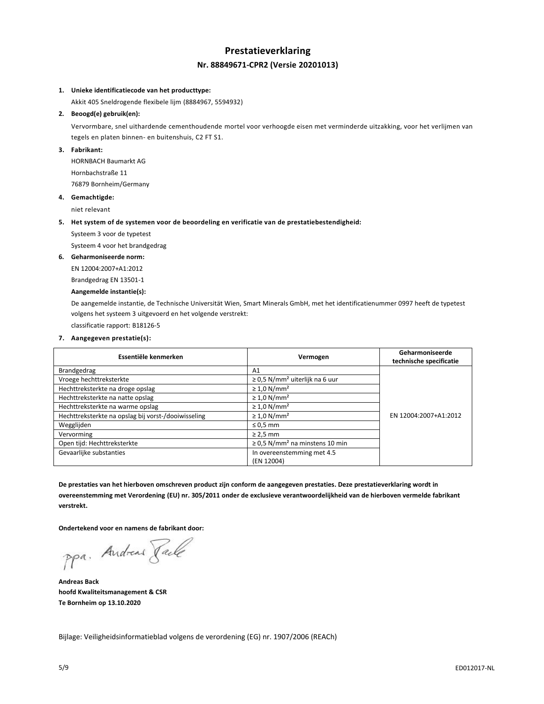# **Prestatieverklaring Nr. 88849671-CPR2 (Versie 20201013)**

## **1. Unieke identificatiecode van het producttype:**

Akkit 405 Sneldrogende flexibele lijm (8884967, 5594932)

#### **2. Beoogd(e) gebruik(en):**

Vervormbare, snel uithardende cementhoudende mortel voor verhoogde eisen met verminderde uitzakking, voor het verlijmen van tegels en platen binnen- en buitenshuis, C2 FT S1.

# **3. Fabrikant:**

HORNBACH Baumarkt AG Hornbachstraße 11 76879 Bornheim/Germany

# **4. Gemachtigde:**

niet relevant

#### **5. Het system of de systemen voor de beoordeling en verificatie van de prestatiebestendigheid:**

Systeem 3 voor de typetest

Systeem 4 voor het brandgedrag

#### **6. Geharmoniseerde norm:**

EN 12004:2007+A1:2012

Brandgedrag EN 13501-1

# **Aangemelde instantie(s):**

De aangemelde instantie, de Technische Universität Wien, Smart Minerals GmbH, met het identificatienummer 0997 heeft de typetest volgens het systeem 3 uitgevoerd en het volgende verstrekt:

classificatie rapport: B18126-5

#### **7. Aangegeven prestatie(s):**

| Essentiële kenmerken                                | Vermogen                                        | Geharmoniseerde<br>technische specificatie |
|-----------------------------------------------------|-------------------------------------------------|--------------------------------------------|
| Brandgedrag                                         | A1                                              |                                            |
| Vroege hechttreksterkte                             | $\geq$ 0.5 N/mm <sup>2</sup> uiterlijk na 6 uur |                                            |
| Hechttreksterkte na droge opslag                    | $\geq 1.0$ N/mm <sup>2</sup>                    |                                            |
| Hechttreksterkte na natte opslag                    | $\geq 1.0$ N/mm <sup>2</sup>                    |                                            |
| Hechttreksterkte na warme opslag                    | $\geq 1.0$ N/mm <sup>2</sup>                    |                                            |
| Hechttreksterkte na opslag bij vorst-/dooiwisseling | $\geq 1.0$ N/mm <sup>2</sup>                    | EN 12004:2007+A1:2012                      |
| Wegglijden                                          | $\leq 0.5$ mm                                   |                                            |
| Vervorming                                          | $\geq$ 2,5 mm                                   |                                            |
| Open tijd: Hechttreksterkte                         | $\geq$ 0.5 N/mm <sup>2</sup> na minstens 10 min |                                            |
| Gevaarlijke substanties                             | In overeenstemming met 4.5<br>(EN 12004)        |                                            |

**De prestaties van het hierboven omschreven product zijn conform de aangegeven prestaties. Deze prestatieverklaring wordt in overeenstemming met Verordening (EU) nr. 305/2011 onder de exclusieve verantwoordelijkheid van de hierboven vermelde fabrikant verstrekt.**

**Ondertekend voor en namens de fabrikant door:**

ppa. Andreas Jack

**Andreas Back hoofd Kwaliteitsmanagement & CSR Te Bornheim op 13.10.2020**

Bijlage: Veiligheidsinformatieblad volgens de verordening (EG) nr. 1907/2006 (REACh)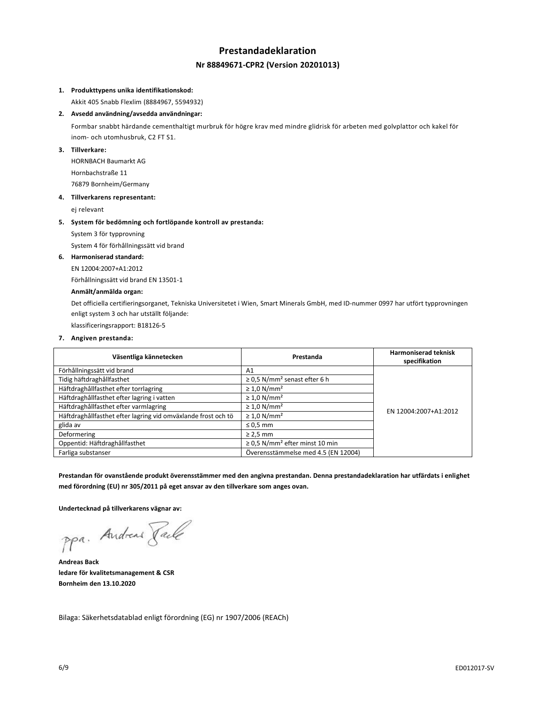# **Prestandadeklaration Nr 88849671-CPR2 (Version 20201013)**

## **1. Produkttypens unika identifikationskod:**

Akkit 405 Snabb Flexlim (8884967, 5594932)

# **2. Avsedd användning/avsedda användningar:**

Formbar snabbt härdande cementhaltigt murbruk för högre krav med mindre glidrisk för arbeten med golvplattor och kakel för inom- och utomhusbruk, C2 FT S1.

# **3. Tillverkare:**

HORNBACH Baumarkt AG Hornbachstraße 11 76879 Bornheim/Germany

#### **4. Tillverkarens representant:**

ej relevant

#### **5. System för bedömning och fortlöpande kontroll av prestanda:**

System 3 för typprovning

System 4 för förhållningssätt vid brand

#### **6. Harmoniserad standard:**

EN 12004:2007+A1:2012

Förhållningssätt vid brand EN 13501-1

# **Anmält/anmälda organ:**

Det officiella certifieringsorganet, Tekniska Universitetet i Wien, Smart Minerals GmbH, med ID-nummer 0997 har utfört typprovningen enligt system 3 och har utställt följande:

klassificeringsrapport: B18126-5

#### **7. Angiven prestanda:**

| Väsentliga kännetecken                                        | Prestanda                                       | <b>Harmoniserad teknisk</b><br>specifikation |
|---------------------------------------------------------------|-------------------------------------------------|----------------------------------------------|
| Förhållningssätt vid brand                                    | A1                                              |                                              |
| Tidig häftdraghållfasthet                                     | $\geq$ 0.5 N/mm <sup>2</sup> senast efter 6 h   |                                              |
| Häftdraghållfasthet efter torrlagring                         | $\geq 1.0$ N/mm <sup>2</sup>                    |                                              |
| Häftdraghållfasthet efter lagring i vatten                    | $\geq 1.0$ N/mm <sup>2</sup>                    |                                              |
| Häftdraghållfasthet efter varmlagring                         | $\geq 1.0$ N/mm <sup>2</sup>                    | EN 12004:2007+A1:2012                        |
| Häftdraghållfasthet efter lagring vid omväxlande frost och tö | $\geq 1.0$ N/mm <sup>2</sup>                    |                                              |
| glida av                                                      | $\leq 0.5$ mm                                   |                                              |
| Deformering                                                   | $\geq$ 2,5 mm                                   |                                              |
| Oppentid: Häftdraghållfasthet                                 | $\geq$ 0.5 N/mm <sup>2</sup> efter minst 10 min |                                              |
| Farliga substanser                                            | Överensstämmelse med 4.5 (EN 12004)             |                                              |

**Prestandan för ovanstående produkt överensstämmer med den angivna prestandan. Denna prestandadeklaration har utfärdats i enlighet med förordning (EU) nr 305/2011 på eget ansvar av den tillverkare som anges ovan.**

**Undertecknad på tillverkarens vägnar av:**

ppa. Andreas Face

**Andreas Back ledare för kvalitetsmanagement & CSR Bornheim den 13.10.2020**

Bilaga: Säkerhetsdatablad enligt förordning (EG) nr 1907/2006 (REACh)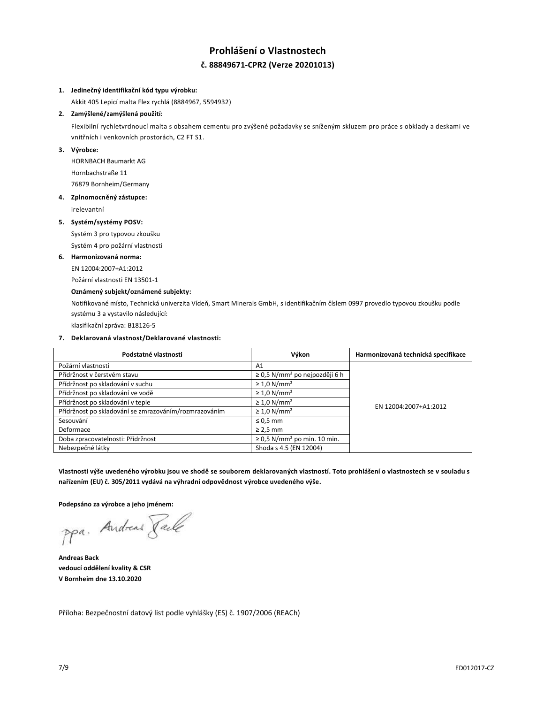# **Prohlášení o Vlastnostech č. 88849671-CPR2 (Verze 20201013)**

# **1. Jedinečný identifikační kód typu výrobku:**

Akkit 405 Lepicí malta Flex rychlá (8884967, 5594932)

# **2. Zamýšlené/zamýšlená použití:**

Flexibilní rychletvrdnoucí malta s obsahem cementu pro zvýšené požadavky se sníženým skluzem pro práce s obklady a deskami ve vnitřních i venkovních prostorách, C2 FT S1.

# **3. Výrobce:**

HORNBACH Baumarkt AG Hornbachstraße 11 76879 Bornheim/Germany

# **4. Zplnomocněný zástupce:**

irelevantní

#### **5. Systém/systémy POSV:**

Systém 3 pro typovou zkoušku

Systém 4 pro požární vlastnosti

# **6. Harmonizovaná norma:**

EN 12004:2007+A1:2012

Požární vlastnosti EN 13501-1

# **Oznámený subjekt/oznámené subjekty:**

Notifikované místo, Technická univerzita Vídeň, Smart Minerals GmbH, s identifikačním číslem 0997 provedlo typovou zkoušku podle systému 3 a vystavilo následující:

klasifikační zpráva: B18126-5

# **7. Deklarovaná vlastnost/Deklarované vlastnosti:**

| Podstatné vlastnosti                                  | Výkon                                          | Harmonizovaná technická specifikace |
|-------------------------------------------------------|------------------------------------------------|-------------------------------------|
| Požární vlastnosti                                    | A1                                             |                                     |
| Přídržnost v čerstvém stavu                           | $\geq$ 0,5 N/mm <sup>2</sup> po nejpozději 6 h |                                     |
| Přídržnost po skladování v suchu                      | $\geq 1.0$ N/mm <sup>2</sup>                   |                                     |
| Přídržnost po skladování ve vodě                      | $\geq 1.0$ N/mm <sup>2</sup>                   |                                     |
| Přídržnost po skladování v teple                      | $\geq 1.0$ N/mm <sup>2</sup>                   | EN 12004:2007+A1:2012               |
| Přídržnost po skladování se zmrazováním/rozmrazováním | $\geq 1.0$ N/mm <sup>2</sup>                   |                                     |
| Sesouvání                                             | $\leq 0.5$ mm                                  |                                     |
| Deformace                                             | $\geq$ 2,5 mm                                  |                                     |
| Doba zpracovatelnosti: Přídržnost                     | $\geq$ 0.5 N/mm <sup>2</sup> po min. 10 min.   |                                     |
| Nebezpečné látky                                      | Shoda s 4.5 (EN 12004)                         |                                     |

**Vlastnosti výše uvedeného výrobku jsou ve shodě se souborem deklarovaných vlastností. Toto prohlášení o vlastnostech se v souladu s nařízením (EU) č. 305/2011 vydává na výhradní odpovědnost výrobce uvedeného výše.**

**Podepsáno za výrobce a jeho jménem:**

ppa. Andreas Face

**Andreas Back vedoucí oddělení kvality & CSR V Bornheim dne 13.10.2020**

Příloha: Bezpečnostní datový list podle vyhlášky (ES) č. 1907/2006 (REACh)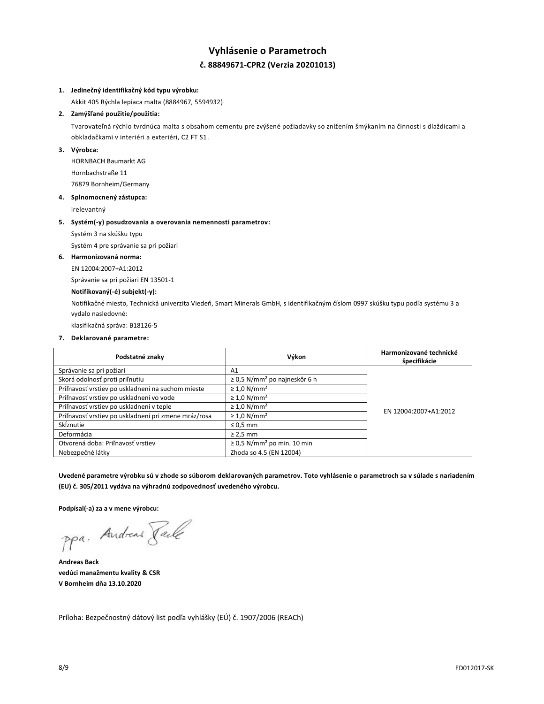# **Vyhlásenie o Parametroch č. 88849671-CPR2 (Verzia 20201013)**

# **1. Jedinečný identifikačný kód typu výrobku:**

Akkit 405 Rýchla lepiaca malta (8884967, 5594932)

# **2. Zamýšľané použitie/použitia:**

Tvarovateľná rýchlo tvrdnúca malta s obsahom cementu pre zvýšené požiadavky so znížením šmýkaním na činnosti s dlaždicami a obkladačkami v interiéri a exteriéri, C2 FT S1.

#### **3. Výrobca:**

HORNBACH Baumarkt AG Hornbachstraße 11 76879 Bornheim/Germany

#### **4. Splnomocnený zástupca:**

irelevantný

#### **5. Systém(-y) posudzovania a overovania nemennosti parametrov:**

Systém 3 na skúšku typu

Systém 4 pre správanie sa pri požiari

#### **6. Harmonizovaná norma:**

EN 12004:2007+A1:2012

Správanie sa pri požiari EN 13501-1

# **Notifikovaný(-é) subjekt(-y):**

Notifikačné miesto, Technická univerzita Viedeň, Smart Minerals GmbH, s identifikačným číslom 0997 skúšku typu podľa systému 3 a vydalo nasledovné:

klasifikačná správa: B18126-5

#### **7. Deklarované parametre:**

| Podstatné znaky                                      | Výkon                                         | Harmonizované technické<br>špecifikácie |
|------------------------------------------------------|-----------------------------------------------|-----------------------------------------|
| Správanie sa pri požiari                             | A1                                            |                                         |
| Skorá odolnosť proti priľnutiu                       | $\geq$ 0,5 N/mm <sup>2</sup> po najneskôr 6 h |                                         |
| Priľnavosť vrstiev po uskladnení na suchom mieste    | $\geq 1.0$ N/mm <sup>2</sup>                  |                                         |
| Priľnavosť vrstiev po uskladnení vo vode             | $\geq 1.0$ N/mm <sup>2</sup>                  |                                         |
| Priľnavosť vrstiev po uskladnení v teple             | $\geq 1.0$ N/mm <sup>2</sup>                  | EN 12004:2007+A1:2012                   |
| Priľnavosť vrstiev po uskladnení pri zmene mráz/rosa | $\geq 1.0$ N/mm <sup>2</sup>                  |                                         |
| Sklznutie                                            | $\leq 0.5$ mm                                 |                                         |
| Deformácia                                           | $\geq$ 2,5 mm                                 |                                         |
| Otvorená doba: Priľnavosť vrstiev                    | $\geq$ 0.5 N/mm <sup>2</sup> po min. 10 min   |                                         |
| Nebezpečné látky                                     | Zhoda so 4.5 (EN 12004)                       |                                         |

**Uvedené parametre výrobku sú v zhode so súborom deklarovaných parametrov. Toto vyhlásenie o parametroch sa v súlade s nariadením (EU) č. 305/2011 vydáva na výhradnú zodpovednosť uvedeného výrobcu.**

**Podpísal(-a) za a v mene výrobcu:**

ppa. Andreas Taile

**Andreas Back vedúci manažmentu kvality & CSR V Bornheim dňa 13.10.2020**

Príloha: Bezpečnostný dátový list podľa vyhlášky (EÚ) č. 1907/2006 (REACh)